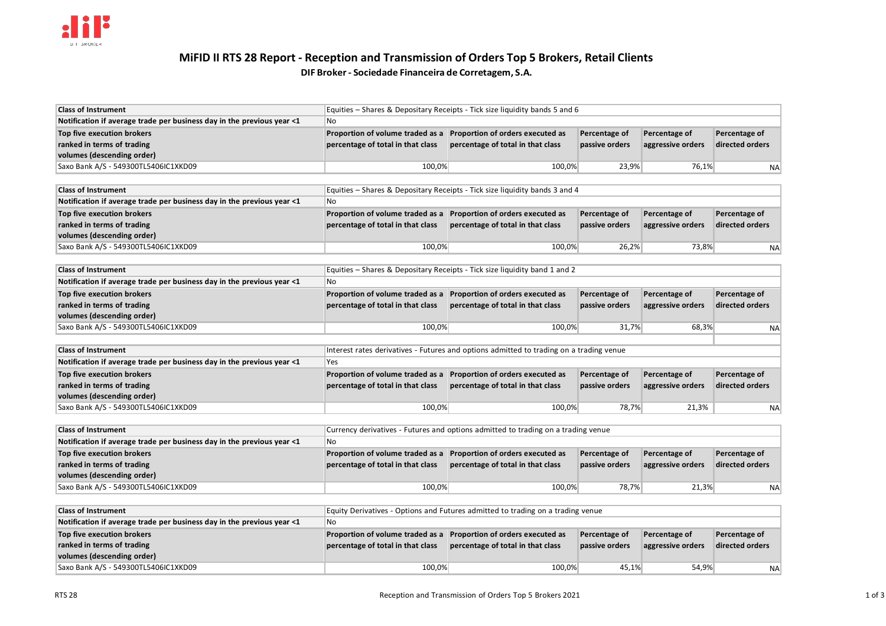

# **MiFID II RTS 28 Report - Reception and Transmission of Orders Top 5 Brokers, Retail Clients DIF Broker- Sociedade Financeira de Corretagem, S.A.**

| <b>Class of Instrument</b>                                             | Equities – Shares & Depositary Receipts - Tick size liquidity bands 5 and 6 |                                   |                |                   |                 |
|------------------------------------------------------------------------|-----------------------------------------------------------------------------|-----------------------------------|----------------|-------------------|-----------------|
| Notification if average trade per business day in the previous year <1 | l No                                                                        |                                   |                |                   |                 |
| Top five execution brokers                                             | Proportion of volume traded as a Proportion of orders executed as           |                                   | Percentage of  | Percentage of     | Percentage of   |
| ranked in terms of trading                                             | percentage of total in that class                                           | percentage of total in that class | passive orders | aggressive orders | directed orders |
| volumes (descending order)                                             |                                                                             |                                   |                |                   |                 |
| Saxo Bank A/S - 549300TL5406IC1XKD09                                   | 100,0%                                                                      | 100,0%                            | 23,9%          | 76,1%             | <b>NA</b>       |

| <b>Class of Instrument</b>                                             | Equities – Shares & Depositary Receipts - Tick size liquidity bands 3 and 4 |                                   |                |                   |                 |
|------------------------------------------------------------------------|-----------------------------------------------------------------------------|-----------------------------------|----------------|-------------------|-----------------|
| Notification if average trade per business day in the previous year <1 | l No                                                                        |                                   |                |                   |                 |
| Top five execution brokers                                             | Proportion of volume traded as a                                            | Proportion of orders executed as  | Percentage of  | Percentage of     | Percentage of   |
| ranked in terms of trading                                             | percentage of total in that class                                           | percentage of total in that class | passive orders | aggressive orders | directed orders |
| volumes (descending order)                                             |                                                                             |                                   |                |                   |                 |
| Saxo Bank A/S - 549300TL5406IC1XKD09                                   | 100,0%                                                                      | 100,0%                            | 26,2%          | 73,8%             | <b>NA</b>       |

| <b>Class of Instrument</b>                                             | Equities – Shares & Depositary Receipts - Tick size liquidity band 1 and 2 |                                   |                |                   |                 |
|------------------------------------------------------------------------|----------------------------------------------------------------------------|-----------------------------------|----------------|-------------------|-----------------|
| Notification if average trade per business day in the previous year <1 | l No                                                                       |                                   |                |                   |                 |
| Top five execution brokers                                             | Proportion of volume traded as a Proportion of orders executed as          |                                   | Percentage of  | Percentage of     | Percentage of   |
| ranked in terms of trading                                             | percentage of total in that class                                          | percentage of total in that class | passive orders | aggressive orders | directed orders |
| volumes (descending order)                                             |                                                                            |                                   |                |                   |                 |
| Saxo Bank A/S - 549300TL5406IC1XKD09                                   | 100,0%                                                                     | 100,0%                            | 31,7%          | 68,3%             | <b>NA</b>       |
|                                                                        |                                                                            |                                   |                |                   |                 |

| <b>Class of Instrument</b>                                             | Interest rates derivatives - Futures and options admitted to trading on a trading venue |                                   |                |                   |                 |
|------------------------------------------------------------------------|-----------------------------------------------------------------------------------------|-----------------------------------|----------------|-------------------|-----------------|
| Notification if average trade per business day in the previous year <1 | <b>Yes</b>                                                                              |                                   |                |                   |                 |
| Top five execution brokers                                             | Proportion of volume traded as a                                                        | Proportion of orders executed as  | Percentage of  | Percentage of     | Percentage of   |
| ranked in terms of trading                                             | percentage of total in that class                                                       | percentage of total in that class | passive orders | aggressive orders | directed orders |
| volumes (descending order)                                             |                                                                                         |                                   |                |                   |                 |
| Saxo Bank A/S - 549300TL5406IC1XKD09                                   | 100,0%                                                                                  | 100,0%                            | 78,7%          | 21,3%             | <b>NA</b>       |

| <b>Class of Instrument</b>                                             | Currency derivatives - Futures and options admitted to trading on a trading venue |                                   |                |                   |                 |
|------------------------------------------------------------------------|-----------------------------------------------------------------------------------|-----------------------------------|----------------|-------------------|-----------------|
| Notification if average trade per business day in the previous year <1 | l No                                                                              |                                   |                |                   |                 |
| Top five execution brokers                                             | Proportion of volume traded as a                                                  | Proportion of orders executed as  | Percentage of  | Percentage of     | Percentage of   |
| ranked in terms of trading                                             | percentage of total in that class                                                 | percentage of total in that class | passive orders | aggressive orders | directed orders |
| volumes (descending order)                                             |                                                                                   |                                   |                |                   |                 |
| Saxo Bank A/S - 549300TL5406IC1XKD09                                   | 100,0%                                                                            | 100,0%                            | 78,7%          | 21,3%             | <b>NA</b>       |

| <b>Class of Instrument</b>                                             | Equity Derivatives - Options and Futures admitted to trading on a trading venue |                                   |                |                   |                 |
|------------------------------------------------------------------------|---------------------------------------------------------------------------------|-----------------------------------|----------------|-------------------|-----------------|
| Notification if average trade per business day in the previous year <1 | No                                                                              |                                   |                |                   |                 |
| Top five execution brokers                                             | Proportion of volume traded as a                                                | Proportion of orders executed as  | Percentage of  | Percentage of     | Percentage of   |
| ranked in terms of trading                                             | percentage of total in that class                                               | percentage of total in that class | passive orders | aggressive orders | directed orders |
| volumes (descending order)                                             |                                                                                 |                                   |                |                   |                 |
| Saxo Bank A/S - 549300TL5406IC1XKD09                                   | 100,0%                                                                          | 100,0%                            | 45,1%          | 54,9%             | <b>NA</b>       |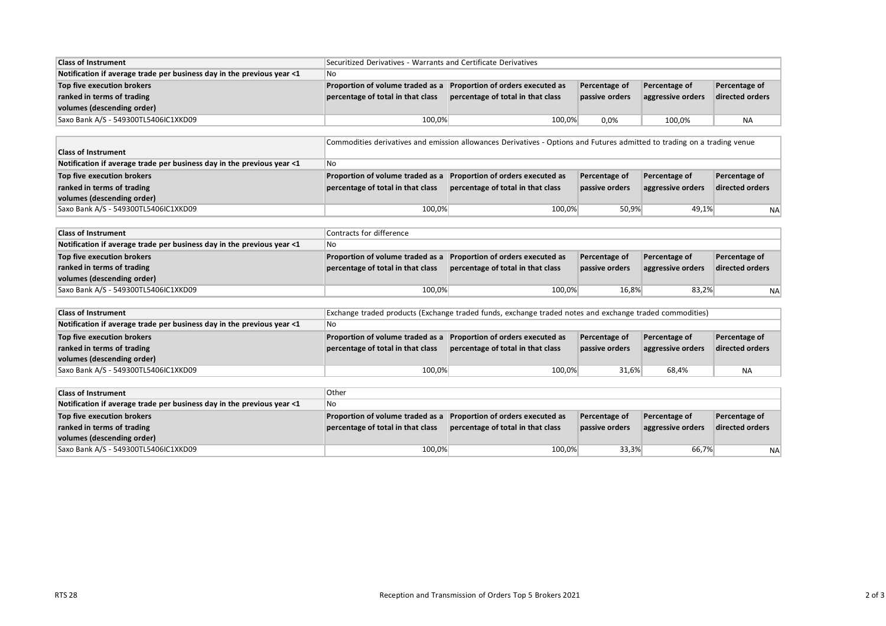| <b>Class of Instrument</b>                                             | Securitized Derivatives - Warrants and Certificate Derivatives |                                   |                |                   |                 |
|------------------------------------------------------------------------|----------------------------------------------------------------|-----------------------------------|----------------|-------------------|-----------------|
| Notification if average trade per business day in the previous year <1 | ∥No                                                            |                                   |                |                   |                 |
| Top five execution brokers                                             | Proportion of volume traded as a                               | Proportion of orders executed as  | Percentage of  | Percentage of     | Percentage of   |
| ranked in terms of trading                                             | percentage of total in that class                              | percentage of total in that class | passive orders | aggressive orders | directed orders |
| volumes (descending order)                                             |                                                                |                                   |                |                   |                 |
| Saxo Bank A/S - 549300TL5406IC1XKD09                                   | 100,0%                                                         | 100,0%                            | 0.0%           | 100,0%            | <b>NA</b>       |

|                                                                        | Commodities derivatives and emission allowances Derivatives - Options and Futures admitted to trading on a trading venue |                                   |                |                   |                 |
|------------------------------------------------------------------------|--------------------------------------------------------------------------------------------------------------------------|-----------------------------------|----------------|-------------------|-----------------|
| <b>Class of Instrument</b>                                             |                                                                                                                          |                                   |                |                   |                 |
| Notification if average trade per business day in the previous year <1 | No                                                                                                                       |                                   |                |                   |                 |
| Top five execution brokers                                             | Proportion of volume traded as a                                                                                         | Proportion of orders executed as  | Percentage of  | Percentage of     | Percentage of   |
| ranked in terms of trading                                             | percentage of total in that class                                                                                        | percentage of total in that class | passive orders | aggressive orders | directed orders |
| volumes (descending order)                                             |                                                                                                                          |                                   |                |                   |                 |
| Saxo Bank A/S - 549300TL5406IC1XKD09                                   | 100,0%                                                                                                                   | 100.0%                            | 50,9%          | 49,1%             | <b>NA</b>       |

| <b>Class of Instrument</b>                                             | Contracts for difference          |                                   |                |                   |                 |
|------------------------------------------------------------------------|-----------------------------------|-----------------------------------|----------------|-------------------|-----------------|
| Notification if average trade per business day in the previous year <1 | No                                |                                   |                |                   |                 |
| Top five execution brokers                                             | Proportion of volume traded as a  | Proportion of orders executed as  | Percentage of  | Percentage of     | Percentage of   |
| ranked in terms of trading                                             | percentage of total in that class | percentage of total in that class | passive orders | aggressive orders | directed orders |
| volumes (descending order)                                             |                                   |                                   |                |                   |                 |
| Saxo Bank A/S - 549300TL5406IC1XKD09                                   | 100,0%                            | 100.0%                            | 16,8%          | 83,2%             | <b>NA</b>       |

| <b>Class of Instrument</b>                                             | Exchange traded products (Exchange traded funds, exchange traded notes and exchange traded commodities) |                                   |                |                   |                 |
|------------------------------------------------------------------------|---------------------------------------------------------------------------------------------------------|-----------------------------------|----------------|-------------------|-----------------|
| Notification if average trade per business day in the previous year <1 | $\mathsf{No}$                                                                                           |                                   |                |                   |                 |
| Top five execution brokers                                             | Proportion of volume traded as a                                                                        | Proportion of orders executed as  | Percentage of  | Percentage of     | Percentage of   |
| ranked in terms of trading                                             | percentage of total in that class                                                                       | percentage of total in that class | passive orders | aggressive orders | directed orders |
| volumes (descending order)                                             |                                                                                                         |                                   |                |                   |                 |
| Saxo Bank A/S - 549300TL5406IC1XKD09                                   | 100,0%                                                                                                  | 100,0%                            | 31.6%          | 68.4%             | <b>NA</b>       |

| <b>Class of Instrument</b>                                             | Other                             |                                   |                |                   |                 |
|------------------------------------------------------------------------|-----------------------------------|-----------------------------------|----------------|-------------------|-----------------|
| Notification if average trade per business day in the previous year <1 | $\overline{\mathsf{No}}$          |                                   |                |                   |                 |
| Top five execution brokers                                             | Proportion of volume traded as a  | Proportion of orders executed as  | Percentage of  | Percentage of     | Percentage of   |
| ranked in terms of trading                                             | percentage of total in that class | percentage of total in that class | passive orders | aggressive orders | directed orders |
| volumes (descending order)                                             |                                   |                                   |                |                   |                 |
| Saxo Bank A/S - 549300TL5406IC1XKD09                                   | 100,0%                            | 100,0%                            | 33,3%          | 66,7%             | <b>NA</b>       |